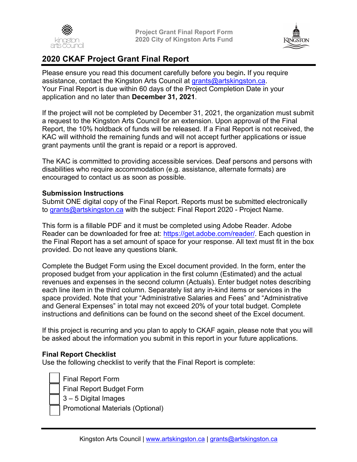



# **2020 CKAF Project Grant Final Report**

Please ensure you read this document carefully before you begin**.** If you require assistance, contact the Kingston Arts Council at grants@artskingston.ca. Your Final Report is due within 60 days of the Project Completion Date in your application and no later than **December 31, 2021**.

If the project will not be completed by December 31, 2021, the organization must submit a request to the Kingston Arts Council for an extension. Upon approval of the Final Report, the 10% holdback of funds will be released. If a Final Report is not received, the KAC will withhold the remaining funds and will not accept further applications or issue grant payments until the grant is repaid or a report is approved.

The KAC is committed to providing accessible services. Deaf persons and persons with disabilities who require accommodation (e.g. assistance, alternate formats) are encouraged to contact us as soon as possible.

#### **Submission Instructions**

Submit ONE digital copy of the Final Report. Reports must be submitted electronically to grants@artskingston.ca with the subject: Final Report 2020 - Project Name.

This form is a fillable PDF and it must be completed using Adobe Reader. Adobe Reader can be downloaded for free at: https://get.adobe.com/reader/. Each question in the Final Report has a set amount of space for your response. All text must fit in the box provided. Do not leave any questions blank.

Complete the Budget Form using the Excel document provided. In the form, enter the proposed budget from your application in the first column (Estimated) and the actual revenues and expenses in the second column (Actuals). Enter budget notes describing each line item in the third column. Separately list any in-kind items or services in the space provided. Note that your "Administrative Salaries and Fees" and "Administrative and General Expenses" in total may not exceed 20% of your total budget. Complete instructions and definitions can be found on the second sheet of the Excel document.

If this project is recurring and you plan to apply to CKAF again, please note that you will be asked about the information you submit in this report in your future applications.

#### **Final Report Checklist**

Use the following checklist to verify that the Final Report is complete:

• Final Report Form • Final Report Budget Form

• 3 – 5 Digital Images

• Promotional Materials (Optional)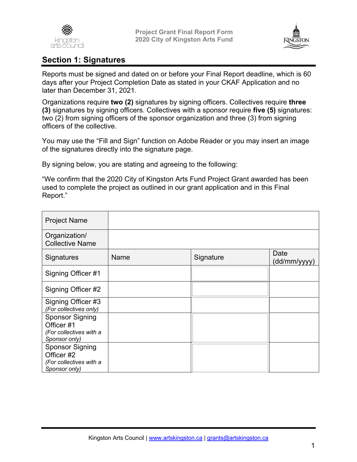



## **Section 1: Signatures**

Reports must be signed and dated on or before your Final Report deadline, which is 60 days after your Project Completion Date as stated in your CKAF Application and no later than December 31, 2021.

Organizations require **two (2)** signatures by signing officers. Collectives require **three (3)** signatures by signing officers. Collectives with a sponsor require **five (5)** signatures: two (2) from signing officers of the sponsor organization and three (3) from signing officers of the collective.

You may use the "Fill and Sign" function on Adobe Reader or you may insert an image of the signatures directly into the signature page.

By signing below, you are stating and agreeing to the following:

"We confirm that the 2020 City of Kingston Arts Fund Project Grant awarded has been used to complete the project as outlined in our grant application and in this Final Report."

| <b>Project Name</b>                                                              |      |           |                      |
|----------------------------------------------------------------------------------|------|-----------|----------------------|
| Organization/<br><b>Collective Name</b>                                          |      |           |                      |
| Signatures                                                                       | Name | Signature | Date<br>(dd/mm/yyyy) |
| Signing Officer #1                                                               |      |           |                      |
| Signing Officer #2                                                               |      |           |                      |
| Signing Officer #3<br>(For collectives only)                                     |      |           |                      |
| <b>Sponsor Signing</b><br>Officer #1<br>(For collectives with a<br>Sponsor only) |      |           |                      |
| <b>Sponsor Signing</b><br>Officer #2<br>(For collectives with a<br>Sponsor only) |      |           |                      |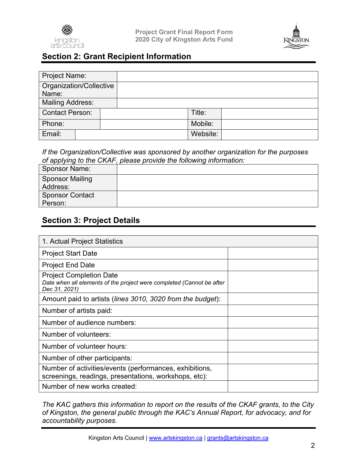



## **Section 2: Grant Recipient Information**

| Project Name:                    |  |          |  |
|----------------------------------|--|----------|--|
| Organization/Collective<br>Name: |  |          |  |
| Mailing Address:                 |  |          |  |
| <b>Contact Person:</b>           |  | Title:   |  |
| Phone:                           |  | Mobile:  |  |
| Email:                           |  | Website: |  |

*If the Organization/Collective was sponsored by another organization for the purposes of applying to the CKAF, please provide the following information:* 

| <b>Sponsor Name:</b>               |  |
|------------------------------------|--|
| <b>Sponsor Mailing</b><br>Address: |  |
| <b>Sponsor Contact</b><br>Person:  |  |

## **Section 3: Project Details**

| 1. Actual Project Statistics                                                                                             |  |  |
|--------------------------------------------------------------------------------------------------------------------------|--|--|
| <b>Project Start Date</b>                                                                                                |  |  |
| <b>Project End Date</b>                                                                                                  |  |  |
| <b>Project Completion Date</b><br>Date when all elements of the project were completed (Cannot be after<br>Dec 31, 2021) |  |  |
| Amount paid to artists (lines 3010, 3020 from the budget):                                                               |  |  |
| Number of artists paid:                                                                                                  |  |  |
| Number of audience numbers:                                                                                              |  |  |
| Number of volunteers:                                                                                                    |  |  |
| Number of volunteer hours:                                                                                               |  |  |
| Number of other participants:                                                                                            |  |  |
| Number of activities/events (performances, exhibitions,<br>screenings, readings, presentations, workshops, etc):         |  |  |
| Number of new works created:                                                                                             |  |  |

*The KAC gathers this information to report on the results of the CKAF grants, to the City of Kingston, the general public through the KAC's Annual Report, for advocacy, and for accountability purposes.*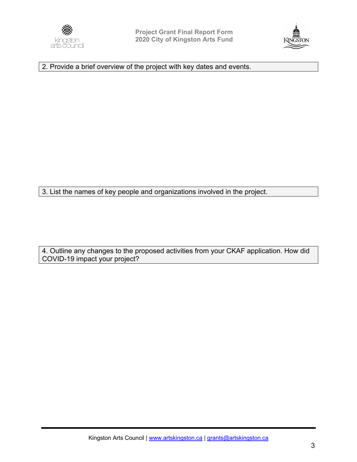



2. Provide a brief overview of the project with key dates and events.

3. List the names of key people and organizations involved in the project.

4. Outline any changes to the proposed activities from your CKAF application. How did COVID-19 impact your project?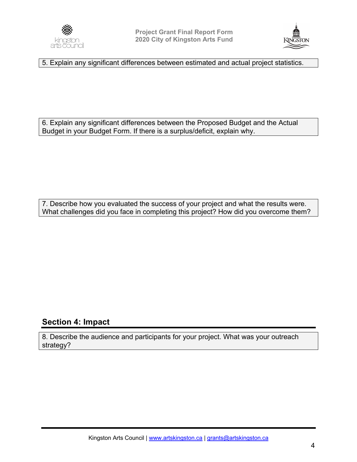



5. Explain any significant differences between estimated and actual project statistics.

6. Explain any significant differences between the Proposed Budget and the Actual Budget in your Budget Form. If there is a surplus/deficit, explain why.

7. Describe how you evaluated the success of your project and what the results were. What challenges did you face in completing this project? How did you overcome them?

### **Section 4: Impact**

8. Describe the audience and participants for your project. What was your outreach strategy?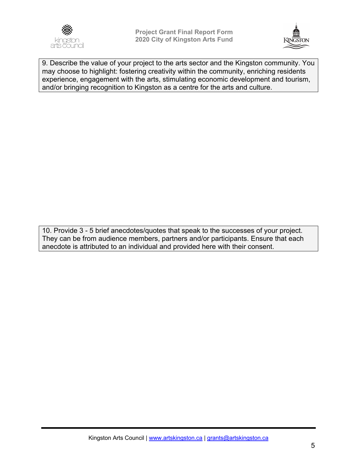



9. Describe the value of your project to the arts sector and the Kingston community. You may choose to highlight: fostering creativity within the community, enriching residents experience, engagement with the arts, stimulating economic development and tourism, and/or bringing recognition to Kingston as a centre for the arts and culture.

10. Provide 3 - 5 brief anecdotes/quotes that speak to the successes of your project. They can be from audience members, partners and/or participants. Ensure that each anecdote is attributed to an individual and provided here with their consent.